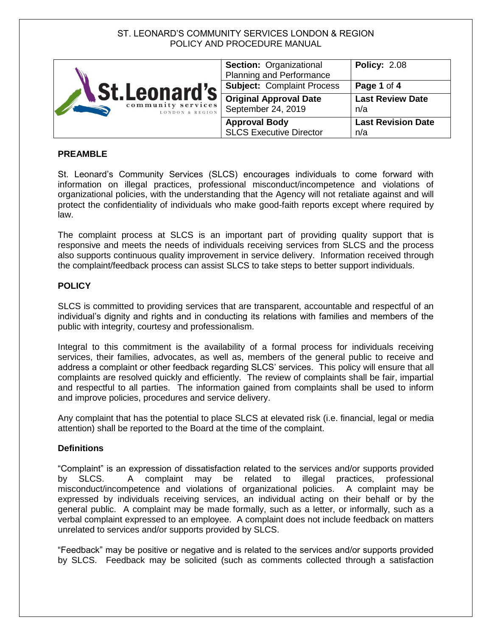| ⊾St.Leonard's <del> </del><br>community services<br>LONDON & REGION | <b>Section: Organizational</b><br><b>Planning and Performance</b> | <b>Policy: 2.08</b>              |
|---------------------------------------------------------------------|-------------------------------------------------------------------|----------------------------------|
|                                                                     | <b>Subject: Complaint Process</b>                                 | Page 1 of 4                      |
|                                                                     | <b>Original Approval Date</b><br>September 24, 2019               | <b>Last Review Date</b><br>n/a   |
|                                                                     | <b>Approval Body</b><br><b>SLCS Executive Director</b>            | <b>Last Revision Date</b><br>n/a |

## **PREAMBLE**

St. Leonard's Community Services (SLCS) encourages individuals to come forward with information on illegal practices, professional misconduct/incompetence and violations of organizational policies, with the understanding that the Agency will not retaliate against and will protect the confidentiality of individuals who make good-faith reports except where required by law.

The complaint process at SLCS is an important part of providing quality support that is responsive and meets the needs of individuals receiving services from SLCS and the process also supports continuous quality improvement in service delivery. Information received through the complaint/feedback process can assist SLCS to take steps to better support individuals.

## **POLICY**

SLCS is committed to providing services that are transparent, accountable and respectful of an individual's dignity and rights and in conducting its relations with families and members of the public with integrity, courtesy and professionalism.

Integral to this commitment is the availability of a formal process for individuals receiving services, their families, advocates, as well as, members of the general public to receive and address a complaint or other feedback regarding SLCS' services. This policy will ensure that all complaints are resolved quickly and efficiently. The review of complaints shall be fair, impartial and respectful to all parties. The information gained from complaints shall be used to inform and improve policies, procedures and service delivery.

Any complaint that has the potential to place SLCS at elevated risk (i.e. financial, legal or media attention) shall be reported to the Board at the time of the complaint.

## **Definitions**

"Complaint" is an expression of dissatisfaction related to the services and/or supports provided by SLCS. A complaint may be related to illegal practices, professional misconduct/incompetence and violations of organizational policies. A complaint may be expressed by individuals receiving services, an individual acting on their behalf or by the general public. A complaint may be made formally, such as a letter, or informally, such as a verbal complaint expressed to an employee. A complaint does not include feedback on matters unrelated to services and/or supports provided by SLCS.

"Feedback" may be positive or negative and is related to the services and/or supports provided by SLCS. Feedback may be solicited (such as comments collected through a satisfaction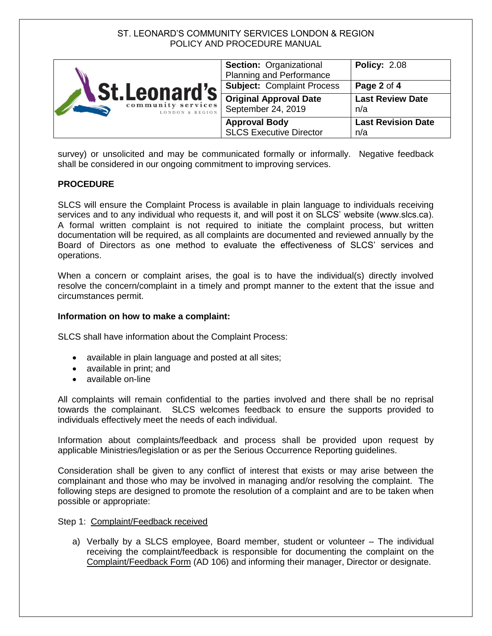| St. Leonard's <b>Subject:</b> Compliaint Proce-<br>community services<br>LONDON & REGION | <b>Section: Organizational</b><br><b>Planning and Performance</b> | <b>Policy: 2.08</b>            |
|------------------------------------------------------------------------------------------|-------------------------------------------------------------------|--------------------------------|
|                                                                                          | <b>Subject: Complaint Process</b>                                 | Page 2 of 4                    |
|                                                                                          | September 24, 2019                                                | <b>Last Review Date</b><br>n/a |
|                                                                                          | <b>Approval Body</b>                                              | <b>Last Revision Date</b>      |
|                                                                                          | <b>SLCS Executive Director</b>                                    | n/a                            |

survey) or unsolicited and may be communicated formally or informally. Negative feedback shall be considered in our ongoing commitment to improving services.

## **PROCEDURE**

SLCS will ensure the Complaint Process is available in plain language to individuals receiving services and to any individual who requests it, and will post it on SLCS' website (www.slcs.ca). A formal written complaint is not required to initiate the complaint process, but written documentation will be required, as all complaints are documented and reviewed annually by the Board of Directors as one method to evaluate the effectiveness of SLCS' services and operations.

When a concern or complaint arises, the goal is to have the individual(s) directly involved resolve the concern/complaint in a timely and prompt manner to the extent that the issue and circumstances permit.

#### **Information on how to make a complaint:**

SLCS shall have information about the Complaint Process:

- available in plain language and posted at all sites;
- available in print; and
- available on-line

All complaints will remain confidential to the parties involved and there shall be no reprisal towards the complainant. SLCS welcomes feedback to ensure the supports provided to individuals effectively meet the needs of each individual.

Information about complaints/feedback and process shall be provided upon request by applicable Ministries/legislation or as per the Serious Occurrence Reporting guidelines.

Consideration shall be given to any conflict of interest that exists or may arise between the complainant and those who may be involved in managing and/or resolving the complaint. The following steps are designed to promote the resolution of a complaint and are to be taken when possible or appropriate:

Step 1: Complaint/Feedback received

a) Verbally by a SLCS employee, Board member, student or volunteer – The individual receiving the complaint/feedback is responsible for documenting the complaint on the Complaint/Feedback Form (AD 106) and informing their manager, Director or designate.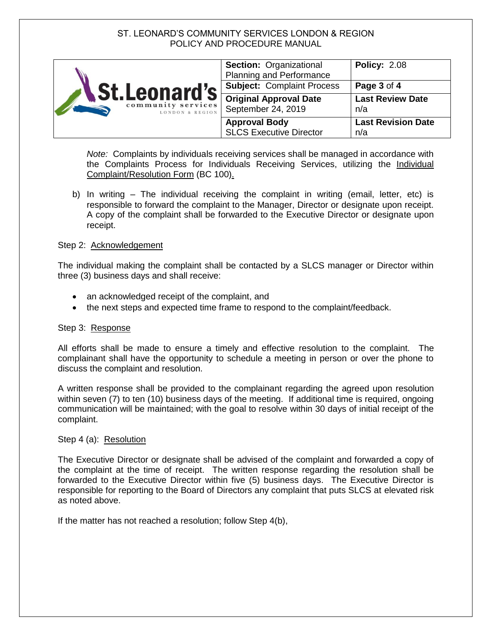

*Note:* Complaints by individuals receiving services shall be managed in accordance with the Complaints Process for Individuals Receiving Services, utilizing the Individual Complaint/Resolution Form (BC 100).

b) In writing – The individual receiving the complaint in writing (email, letter, etc) is responsible to forward the complaint to the Manager, Director or designate upon receipt. A copy of the complaint shall be forwarded to the Executive Director or designate upon receipt.

### Step 2: Acknowledgement

The individual making the complaint shall be contacted by a SLCS manager or Director within three (3) business days and shall receive:

- an acknowledged receipt of the complaint, and
- the next steps and expected time frame to respond to the complaint/feedback.

#### Step 3: Response

All efforts shall be made to ensure a timely and effective resolution to the complaint. The complainant shall have the opportunity to schedule a meeting in person or over the phone to discuss the complaint and resolution.

A written response shall be provided to the complainant regarding the agreed upon resolution within seven (7) to ten (10) business days of the meeting. If additional time is required, ongoing communication will be maintained; with the goal to resolve within 30 days of initial receipt of the complaint.

#### Step 4 (a): Resolution

The Executive Director or designate shall be advised of the complaint and forwarded a copy of the complaint at the time of receipt. The written response regarding the resolution shall be forwarded to the Executive Director within five (5) business days. The Executive Director is responsible for reporting to the Board of Directors any complaint that puts SLCS at elevated risk as noted above.

If the matter has not reached a resolution; follow Step 4(b),